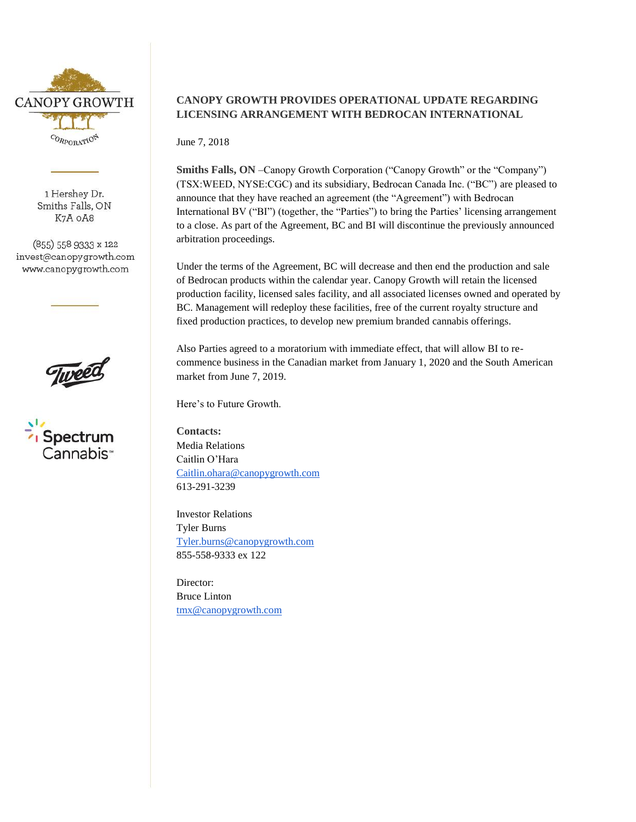

1 Hershey Dr. Smiths Falls, ON K7A OA8

(855) 558 9333 x 122 invest@canopygrowth.com www.canopygrowth.com



## **CANOPY GROWTH PROVIDES OPERATIONAL UPDATE REGARDING LICENSING ARRANGEMENT WITH BEDROCAN INTERNATIONAL**

June 7, 2018

**Smiths Falls, ON** –Canopy Growth Corporation ("Canopy Growth" or the "Company") (TSX:WEED, NYSE:CGC) and its subsidiary, Bedrocan Canada Inc. ("BC") are pleased to announce that they have reached an agreement (the "Agreement") with Bedrocan International BV ("BI") (together, the "Parties") to bring the Parties' licensing arrangement to a close. As part of the Agreement, BC and BI will discontinue the previously announced arbitration proceedings.

Under the terms of the Agreement, BC will decrease and then end the production and sale of Bedrocan products within the calendar year. Canopy Growth will retain the licensed production facility, licensed sales facility, and all associated licenses owned and operated by BC. Management will redeploy these facilities, free of the current royalty structure and fixed production practices, to develop new premium branded cannabis offerings.

Also Parties agreed to a moratorium with immediate effect, that will allow BI to recommence business in the Canadian market from January 1, 2020 and the South American market from June 7, 2019.

Here's to Future Growth.

**Contacts:** Media Relations Caitlin O'Hara [Caitlin.ohara@canopygrowth.com](mailto:Caitlin.ohara@canopygrowth.com) 613-291-3239

Investor Relations Tyler Burns [Tyler.burns@canopygrowth.com](mailto:Tyler.burns@canopygrowth.com) 855-558-9333 ex 122

Director: Bruce Linton [tmx@canopygrowth.com](mailto:tmx@canopygrowth.com)